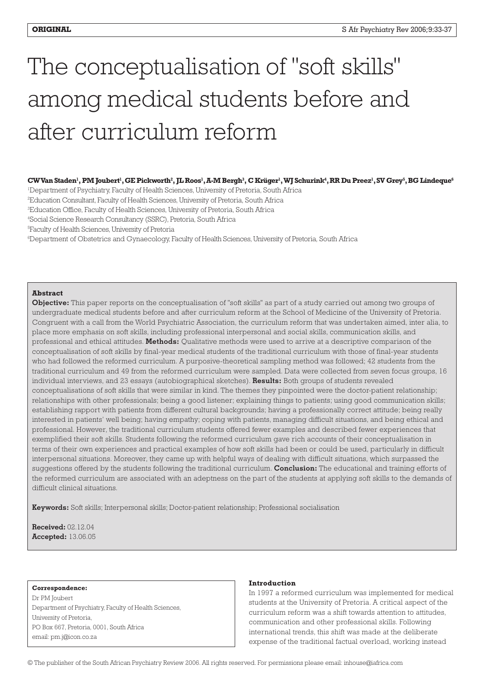# The conceptualisation of "soft skills" among medical students before and after curriculum reform

# $\bf{CW Van Staden}$  ,  $\bf{PM Joubert}$  ,  $\bf{GE Pickworth}$  ,  $\bf{JL Ros}$  ,  $\bf{A\text{-}M Bergh}$  ,  $\bf{C Krüger}$  ,  $\bf{W J Schurink}$  ,  $\bf{RR Du Presz}$  ,  $\bf{SV Grey}$  ,  $\bf{BG Lindeque}$  ,

1 Department of Psychiatry, Faculty of Health Sciences, University of Pretoria, South Africa

2 Education Consultant, Faculty of Health Sciences, University of Pretoria, South Africa

3 Education Office, Faculty of Health Sciences, University of Pretoria, South Africa

4 Social Science Research Consultancy (SSRC), Pretoria, South Africa

5 Faculty of Health Sciences, University of Pretoria

6 Department of Obstetrics and Gynaecology, Faculty of Health Sciences, University of Pretoria, South Africa

# **Abstract**

**Objective:** This paper reports on the conceptualisation of "soft skills" as part of a study carried out among two groups of undergraduate medical students before and after curriculum reform at the School of Medicine of the University of Pretoria. Congruent with a call from the World Psychiatric Association, the curriculum reform that was undertaken aimed, inter alia, to place more emphasis on soft skills, including professional interpersonal and social skills, communication skills, and professional and ethical attitudes. **Methods:** Qualitative methods were used to arrive at a descriptive comparison of the conceptualisation of soft skills by final-year medical students of the traditional curriculum with those of final-year students who had followed the reformed curriculum. A purposive-theoretical sampling method was followed; 42 students from the traditional curriculum and 49 from the reformed curriculum were sampled. Data were collected from seven focus groups, 16 individual interviews, and 23 essays (autobiographical sketches). **Results:** Both groups of students revealed conceptualisations of soft skills that were similar in kind. The themes they pinpointed were the doctor-patient relationship; relationships with other professionals; being a good listener; explaining things to patients; using good communication skills; establishing rapport with patients from different cultural backgrounds; having a professionally correct attitude; being really interested in patients' well being; having empathy; coping with patients, managing difficult situations, and being ethical and professional. However, the traditional curriculum students offered fewer examples and described fewer experiences that exemplified their soft skills. Students following the reformed curriculum gave rich accounts of their conceptualisation in terms of their own experiences and practical examples of how soft skills had been or could be used, particularly in difficult interpersonal situations. Moreover, they came up with helpful ways of dealing with difficult situations, which surpassed the suggestions offered by the students following the traditional curriculum. **Conclusion:** The educational and training efforts of the reformed curriculum are associated with an adeptness on the part of the students at applying soft skills to the demands of difficult clinical situations.

**Keywords:** Soft skills; Interpersonal skills; Doctor-patient relationship; Professional socialisation

**Received:** 02.12.04 **Accepted:** 13.06.05

## **Correspondence:**

Dr PM Joubert Department of Psychiatry, Faculty of Health Sciences, University of Pretoria, PO Box 667, Pretoria, 0001, South Africa email: pm.j@icon.co.za

# **Introduction**

In 1997 a reformed curriculum was implemented for medical students at the University of Pretoria. A critical aspect of the curriculum reform was a shift towards attention to attitudes, communication and other professional skills. Following international trends, this shift was made at the deliberate expense of the traditional factual overload, working instead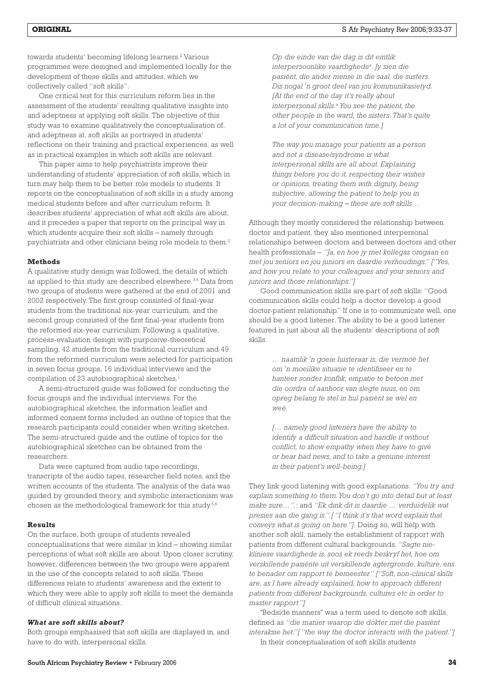towards students' becoming lifelong learners.<sup>2</sup> Various programmes were designed and implemented locally for the development of these skills and attitudes, which we collectively called "soft skills".

One critical test for this curriculum reform lies in the assessment of the students' resulting qualitative insights into and adeptness at applying soft skills. The objective of this study was to examine qualitatively the conceptualisation of, and adeptness at, soft skills as portrayed in students' reflections on their training and practical experiences, as well as in practical examples in which soft skills are relevant.

This paper aims to help psychiatrists improve their understanding of students' appreciation of soft skills, which in turn may help them to be better role models to students. It reports on the conceptualisation of soft skills in a study among medical students before and after curriculum reform. It describes students' appreciation of what soft skills are about, and it precedes a paper that reports on the principal way in which students acquire their soft skills – namely through psychiatrists and other clinicians being role models to them.<sup>2</sup>

# **Methods**

A qualitative study design was followed, the details of which as applied to this study are described elsewhere.<sup>3,4</sup> Data from two groups of students were gathered at the end of 2001 and 2002 respectively. The first group consisted of final-year students from the traditional six-year curriculum, and the second group consisted of the first final-year students from the reformed six-year curriculum. Following a qualitative, process-evaluation design with purposive-theoretical sampling, 42 students from the traditional curriculum and 49 from the reformed curriculum were selected for participation in seven focus groups, 16 individual interviews and the compilation of 23 autobiographical sketches.<sup>1</sup>

A semi-structured guide was followed for conducting the focus groups and the individual interviews. For the autobiographical sketches, the information leaflet and informed consent forms included an outline of topics that the research participants could consider when writing sketches. The semi-structured guide and the outline of topics for the autobiographical sketches can be obtained from the researchers.

Data were captured from audio tape recordings, transcripts of the audio tapes, researcher field notes, and the written accounts of the students. The analysis of the data was guided by grounded theory, and symbolic interactionism was chosen as the methodological framework for this study.<sup>5,6</sup>

# **Results**

On the surface, both groups of students revealed conceptualisations that were similar in kind – showing similar perceptions of what soft skills are about. Upon closer scrutiny, however, differences between the two groups were apparent in the use of the concepts related to soft skills. These differences relate to students' awareness and the extent to which they were able to apply soft skills to meet the demands of difficult clinical situations.

# *What are soft skills about?*

Both groups emphasised that soft skills are displayed in, and have to do with, interpersonal skills.

*Op die einde van die dag is dit eintlik interpersoonlike vaardighedea . Jy sien die pasiënt, die ander mense in die saal, die susters. Dis nogal 'n groot deel van jou kommunikasietyd. [At the end of the day it's really about interpersonal skills.a You see the patient, the other people in the ward, the sisters. That's quite a lot of your communication time.]*

*The way you manage your patients as a person and not a disease/syndrome is what interpersonal skills are all about. Explaining things before you do it, respecting their wishes or opinions, treating them with dignity, being subjective, allowing the patient to help you in your decision-making – these are soft skills…*

Although they mostly considered the relationship between doctor and patient, they also mentioned interpersonal relationships between doctors and between doctors and other health professionals – *"Ja, en hoe jy met kollegas omgaan en met jou seniors en jou juniors en daardie verhoudings." ["Yes, and how you relate to your colleagues and your seniors and juniors and those relationships."]*

Good communication skills are part of soft skills: "Good communication skills could help a doctor develop a good doctor-patient relationship." If one is to communicate well, one should be a good listener. The ability to be a good listener featured in just about all the students' descriptions of soft skills.

> *… naamlik 'n goeie luisteraar is, die vermoë het om 'n moeilike situasie te identifiseer en te hanteer sonder konflik, empatie te betoon met die oordra of aanhoor van slegte nuus, en om opreg belang te stel in hul pasiënt se wel en weë.*

*[… namely good listeners have the ability to identify a difficult situation and handle it without conflict, to show empathy when they have to give or hear bad news, and to take a genuine interest in their patient's well-being.]*

They link good listening with good explanations. *"You try and explain something to them. You don't go into detail but at least make sure…".*; and *"Ek dink dit is daardie … verduidelik wat presies aan die gang is.".[ "I think it's that word explain that conveys what is going on here."].* Doing so, will help with another soft skill, namely the establishment of rapport with patients from different cultural backgrounds. *"Sagte niekliniese vaardighede is, soos ek reeds beskryf het, hoe om verskillende pasiënte uit verskillende agtergronde, kulture, ens. te benader om rapport te bemeester." ["Soft, non-clinical skills are, as I have already explained, how to approach different patients from different backgrounds, cultures etc in order to master rapport."]*

"Bedside manners" was a term used to denote soft skills, defined as *"die manier waarop die dokter met die pasiënt interaksie het."[ "the way the doctor interacts with the patient."]*

In their conceptualisation of soft skills students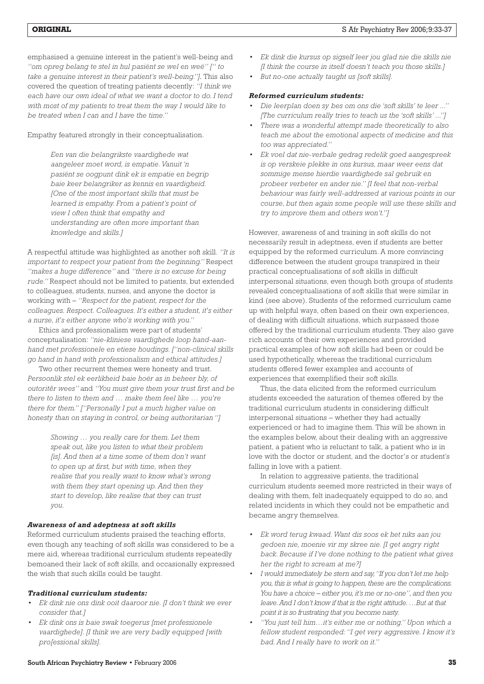emphasised a genuine interest in the patient's well-being and *"om opreg belang te stel in hul pasiënt se wel en weë" [" to take a genuine interest in their patient's well-being."].* This also covered the question of treating patients decently: *"I think we each have our own ideal of what we want a doctor to do. I tend with most of my patients to treat them the way I would like to be treated when I can and I have the time."*

Empathy featured strongly in their conceptualisation.

*Een van die belangrikste vaardighede wat aangeleer moet word, is empatie. Vanuit 'n pasiënt se oogpunt dink ek is empatie en begrip baie keer belangriker as kennis en vaardigheid. [One of the most important skills that must be learned is empathy. From a patient's point of view I often think that empathy and understanding are often more important than knowledge and skills.]*

A respectful attitude was highlighted as another soft skill. *"It is important to respect your patient from the beginning."* Respect *"makes a huge difference"* and *"there is no excuse for being rude."* Respect should not be limited to patients, but extended to colleagues, students, nurses, and anyone the doctor is working with – *"Respect for the patient, respect for the colleagues. Respect. Colleagues. It's either a student, it's either a nurse, it's either anyone who's working with you."*

Ethics and professionalism were part of students' conceptualisation: *"nie-kliniese vaardighede loop hand-aanhand met professionele en etiese houdings. ["non-clinical skills go hand in hand with professionalism and ethical attitudes.]*

Two other recurrent themes were honesty and trust. *Persoonlik stel ek eerlikheid baie hoër as in beheer bly, of outoritêr wees"* and *"You must give them your trust first and be there to listen to them and … make them feel like … you're there for them." ["Personally I put a much higher value on honesty than on staying in control, or being authoritarian "]*

> *Showing … you really care for them. Let them speak out, like you listen to what their problem [is]. And then at a time some of them don't want to open up at first, but with time, when they realise that you really want to know what's wrong with them they start opening up. And then they start to develop, like realise that they can trust you.*

# *Awareness of and adeptness at soft skills*

Reformed curriculum students praised the teaching efforts, even though any teaching of soft skills was considered to be a mere aid, whereas traditional curriculum students repeatedly bemoaned their lack of soft skills, and occasionally expressed the wish that such skills could be taught.

# *Traditional curriculum students:*

- *• Ek dink nie ons dink ooit daaroor nie. [I don't think we ever consider that.]*
- *• Ek dink ons is baie swak toegerus [met professionele vaardighede]. [I think we are very badly equipped [with pro[essional skills].*
- *• Ek dink die kursus op sigself leer jou glad nie die skills nie [I think the course in itself doesn't teach you those skills.]*
- *• But no-one actually taught us [soft skills].*

# *Reformed curriculum students:*

- *• Die leerplan doen sy bes om ons die 'soft skills' te leer ..." [The curriculum really tries to teach us the 'soft skills' ..."]*
- *There was a wonderful attempt made theoretically to also teach me about the emotional aspects of medicine and this too was appreciated."*
- *• Ek voel dat nie-verbale gedrag redelik goed aangespreek is op verskeie plekke in ons kursus, maar weer eens dat sommige mense hierdie vaardighede sal gebruik en probeer verbeter en ander nie." [I feel that non-verbal behaviour was fairly well-addressed at various points in our course, but then again some people will use these skills and try to improve them and others won't."]*

However, awareness of and training in soft skills do not necessarily result in adeptness, even if students are better equipped by the reformed curriculum. A more convincing difference between the student groups transpired in their practical conceptualisations of soft skills in difficult interpersonal situations, even though both groups of students revealed conceptualisations of soft skills that were similar in kind (see above). Students of the reformed curriculum came up with helpful ways, often based on their own experiences, of dealing with difficult situations, which surpassed those offered by the traditional curriculum students. They also gave rich accounts of their own experiences and provided practical examples of how soft skills had been or could be used hypothetically, whereas the traditional curriculum students offered fewer examples and accounts of experiences that exemplified their soft skills.

Thus, the data elicited from the reformed curriculum students exceeded the saturation of themes offered by the traditional curriculum students in considering difficult interpersonal situations – whether they had actually experienced or had to imagine them. This will be shown in the examples below, about their dealing with an aggressive patient, a patient who is reluctant to talk, a patient who is in love with the doctor or student, and the doctor's or student's falling in love with a patient.

In relation to aggressive patients, the traditional curriculum students seemed more restricted in their ways of dealing with them, felt inadequately equipped to do so, and related incidents in which they could not be empathetic and became angry themselves.

- *• Ek word terug kwaad. Want dis soos ek het niks aan jou gedoen nie, moenie vir my skree nie. [I get angry right back. Because if I've done nothing to the patient what gives her the right to scream at me?]*
- *I would immediately be stern and say, "If you don't let me help you, this is what is going to happen, these are the complications. You have a choice – either you, it's me or no-one", and then you leave. And I don't know if that is the right attitude. …But at that point it is so frustrating that you become nasty.*
- *"You just tell him…it's either me or nothing." Upon which a fellow student responded: "I get very aggressive. I know it's bad. And I really have to work on it."*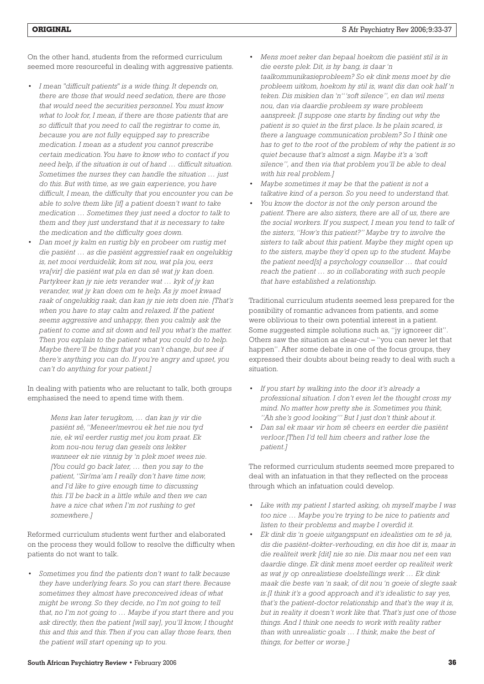On the other hand, students from the reformed curriculum seemed more resourceful in dealing with aggressive patients.

- *I mean "difficult patients" is a wide thing. It depends on, there are those that would need sedation, there are those that would need the securities personnel. You must know what to look for, I mean, if there are those patients that are so difficult that you need to call the registrar to come in, because you are not fully equipped say to prescribe medication. I mean as a student you cannot prescribe certain medication. You have to know who to contact if you need help, if the situation is out of hand … difficult situation. Sometimes the nurses they can handle the situation … just do this. But with time, as we gain experience, you have difficult, I mean, the difficulty that you encounter you can be able to solve them like [if] a patient doesn't want to take medication … Sometimes they just need a doctor to talk to them and they just understand that it is necessary to take the medication and the difficulty goes down.*
- *• Dan moet jy kalm en rustig bly en probeer om rustig met die pasiënt … as die pasiënt aggressief raak en ongelukkig is, net mooi verduidelik, kom sit nou, wat pla jou, eers vra[vir] die pasiënt wat pla en dan sê wat jy kan doen. Partykeer kan jy nie iets verander wat … kyk of jy kan verander, wat jy kan doen om te help. As jy moet kwaad raak of ongelukkig raak, dan kan jy nie iets doen nie. [That's when you have to stay calm and relaxed. If the patient seems aggressive and unhappy, then you calmly ask the patient to come and sit down and tell you what's the matter. Then you explain to the patient what you could do to help. Maybe there'll be things that you can't change, but see if there's anything you can do. If you're angry and upset, you can't do anything for your patient.]*

In dealing with patients who are reluctant to talk, both groups emphasised the need to spend time with them.

> *Mens kan later terugkom, … dan kan jy vir die pasiënt sê, "Meneer/mevrou ek het nie nou tyd nie, ek wil eerder rustig met jou kom praat. Ek kom nou-nou terug dan gesels ons lekker wanneer ek nie vinnig by 'n plek moet wees nie. [You could go back later, … then you say to the patient, "Sir/ma'am I really don't have time now, and I'd like to give enough time to discussing this. I'll be back in a little while and then we can have a nice chat when I'm not rushing to get somewhere.]*

Reformed curriculum students went further and elaborated on the process they would follow to resolve the difficulty when patients do not want to talk.

*• Sometimes you find the patients don't want to talk because they have underlying fears. So you can start there. Because sometimes they almost have preconceived ideas of what might be wrong. So they decide, no I'm not going to tell that, no I'm not going to … Maybe if you start there and you ask directly, then the patient [will say], you'll know, I thought this and this and this. Then if you can allay those fears, then the patient will start opening up to you.*

- *• Mens moet seker dan bepaal hoekom die pasiënt stil is in die eerste plek. Dit, is hy bang, is daar 'n taalkommunikasieprobleem? So ek dink mens moet by die probleem uitkom, hoekom hy stil is, want dis dan ook half 'n teken. Dis miskien dan 'n"'soft silence", en dan wil mens nou, dan via daardie probleem sy ware probleem aanspreek. [I suppose one starts by finding out why the patient is so quiet in the first place. Is he plain scared, is there a language communication problem? So I think one has to get to the root of the problem of why the patient is so quiet because that's almost a sign. Maybe it's a 'soft silence", and then via that problem you'll be able to deal with his real problem.]*
- *Maybe sometimes it may be that the patient is not a talkative kind of a person. So you need to understand that.*
- *You know the doctor is not the only person around the patient. There are also sisters, there are all of us, there are the social workers. If you suspect, I mean you tend to talk of the sisters, "How's this patient?" Maybe try to involve the sisters to talk about this patient. Maybe they might open up to the sisters, maybe they'd open up to the student. Maybe the patient need[s] a psychology counsellor … that could reach the patient … so in collaborating with such people that have established a relationship.*

Traditional curriculum students seemed less prepared for the possibility of romantic advances from patients, and some were oblivious to their own potential interest in a patient. Some suggested simple solutions such as, "jy ignoreer dit". Others saw the situation as clear-cut – "you can never let that happen". After some debate in one of the focus groups, they expressed their doubts about being ready to deal with such a situation.

- *• If you start by walking into the door it's already a professional situation. I don't even let the thought cross my mind. No matter how pretty she is. Sometimes you think, "Ah she's good looking"' But I just don't think about it.*
- *• Dan sal ek maar vir hom sê cheers en eerder die pasiënt verloor.[Then I'd tell him cheers and rather lose the patient.]*

The reformed curriculum students seemed more prepared to deal with an infatuation in that they reflected on the process through which an infatuation could develop.

- *• Like with my patient I started asking, oh myself maybe I was too nice … Maybe you're trying to be nice to patients and listen to their problems and maybe I overdid it.*
- *• Ek dink dis 'n goeie uitgangspunt en idealisties om te sê ja, dis die pasiënt-dokter-verhouding, en dis hoe dit is, maar in die realiteit werk [dit] nie so nie. Dis maar nou net een van daardie dinge. Ek dink mens moet eerder op realiteit werk as wat jy op onrealistiese doelstellings werk … Ek dink maak die beste van 'n saak, of dit nou 'n goeie of slegte saak is.[I think it's a good approach and it's idealistic to say yes, that's the patient-doctor relationship and that's the way it is, but in reality it doesn't work like that. That's just one of those things. And I think one needs to work with reality rather than with unrealistic goals … I think, make the best of things, for better or worse.]*